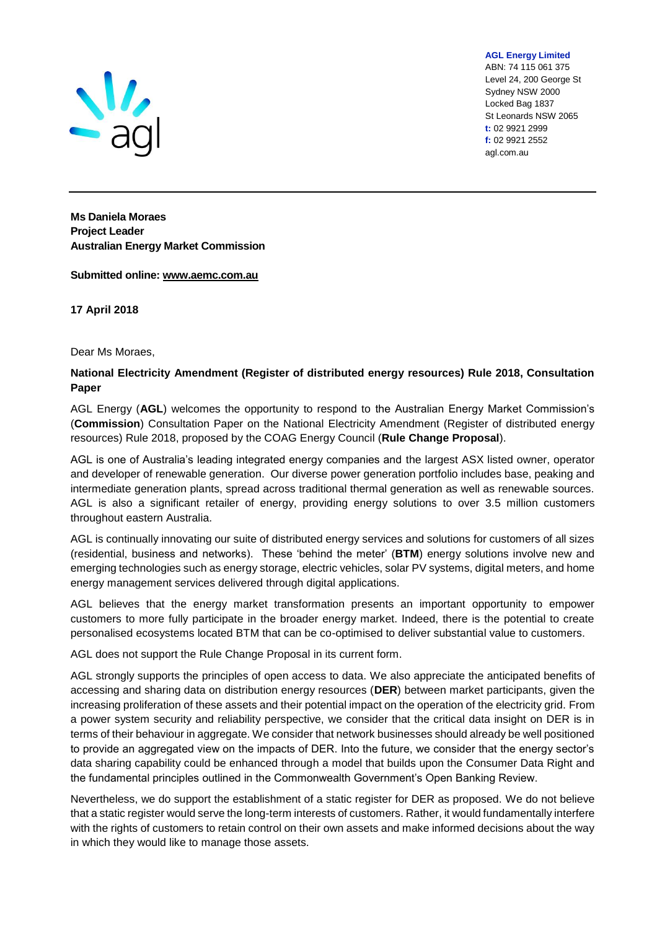

**AGL Energy Limited** ABN: 74 115 061 375 Level 24, 200 George St Sydney NSW 2000 Locked Bag 1837 St Leonards NSW 2065 **t:** 02 9921 2999 **f:** 02 9921 2552 agl.com.au

**Ms Daniela Moraes Project Leader Australian Energy Market Commission**

**Submitted online: [www.aemc.com.au](http://www.aemc.com.au/)**

**17 April 2018**

Dear Ms Moraes,

### **National Electricity Amendment (Register of distributed energy resources) Rule 2018, Consultation Paper**

AGL Energy (**AGL**) welcomes the opportunity to respond to the Australian Energy Market Commission's (**Commission**) Consultation Paper on the National Electricity Amendment (Register of distributed energy resources) Rule 2018, proposed by the COAG Energy Council (**Rule Change Proposal**).

AGL is one of Australia's leading integrated energy companies and the largest ASX listed owner, operator and developer of renewable generation. Our diverse power generation portfolio includes base, peaking and intermediate generation plants, spread across traditional thermal generation as well as renewable sources. AGL is also a significant retailer of energy, providing energy solutions to over 3.5 million customers throughout eastern Australia.

AGL is continually innovating our suite of distributed energy services and solutions for customers of all sizes (residential, business and networks). These 'behind the meter' (**BTM**) energy solutions involve new and emerging technologies such as energy storage, electric vehicles, solar PV systems, digital meters, and home energy management services delivered through digital applications.

AGL believes that the energy market transformation presents an important opportunity to empower customers to more fully participate in the broader energy market. Indeed, there is the potential to create personalised ecosystems located BTM that can be co-optimised to deliver substantial value to customers.

AGL does not support the Rule Change Proposal in its current form.

AGL strongly supports the principles of open access to data. We also appreciate the anticipated benefits of accessing and sharing data on distribution energy resources (**DER**) between market participants, given the increasing proliferation of these assets and their potential impact on the operation of the electricity grid. From a power system security and reliability perspective, we consider that the critical data insight on DER is in terms of their behaviour in aggregate. We consider that network businesses should already be well positioned to provide an aggregated view on the impacts of DER. Into the future, we consider that the energy sector's data sharing capability could be enhanced through a model that builds upon the Consumer Data Right and the fundamental principles outlined in the Commonwealth Government's Open Banking Review.

Nevertheless, we do support the establishment of a static register for DER as proposed. We do not believe that a static register would serve the long-term interests of customers. Rather, it would fundamentally interfere with the rights of customers to retain control on their own assets and make informed decisions about the way in which they would like to manage those assets.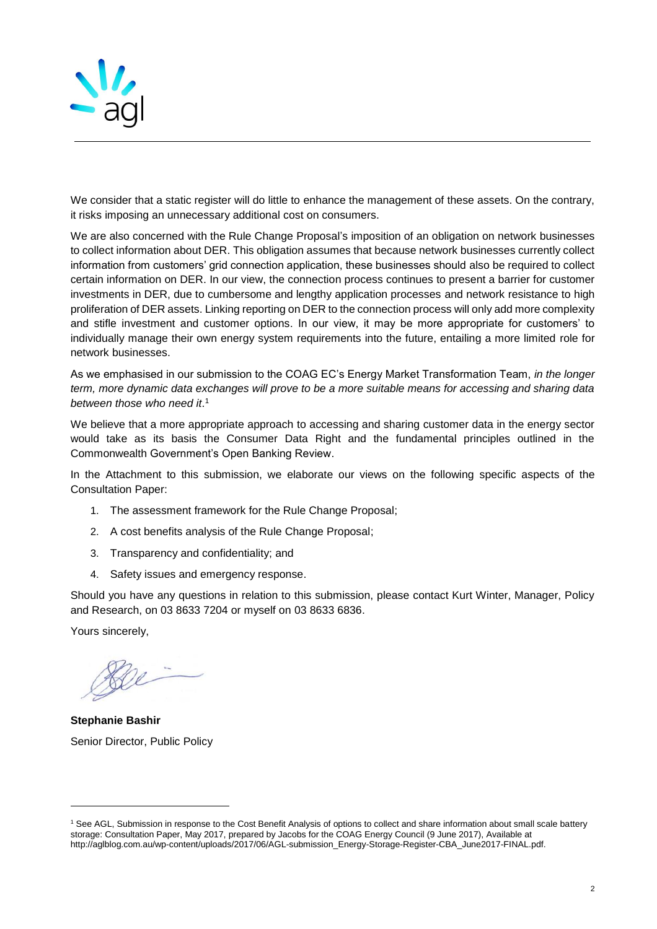

We consider that a static register will do little to enhance the management of these assets. On the contrary, it risks imposing an unnecessary additional cost on consumers.

We are also concerned with the Rule Change Proposal's imposition of an obligation on network businesses to collect information about DER. This obligation assumes that because network businesses currently collect information from customers' grid connection application, these businesses should also be required to collect certain information on DER. In our view, the connection process continues to present a barrier for customer investments in DER, due to cumbersome and lengthy application processes and network resistance to high proliferation of DER assets. Linking reporting on DER to the connection process will only add more complexity and stifle investment and customer options. In our view, it may be more appropriate for customers' to individually manage their own energy system requirements into the future, entailing a more limited role for network businesses.

As we emphasised in our submission to the COAG EC's Energy Market Transformation Team, *in the longer term, more dynamic data exchanges will prove to be a more suitable means for accessing and sharing data between those who need it*. 1

We believe that a more appropriate approach to accessing and sharing customer data in the energy sector would take as its basis the Consumer Data Right and the fundamental principles outlined in the Commonwealth Government's Open Banking Review.

In the Attachment to this submission, we elaborate our views on the following specific aspects of the Consultation Paper:

- 1. The assessment framework for the Rule Change Proposal;
- 2. A cost benefits analysis of the Rule Change Proposal;
- 3. Transparency and confidentiality; and
- 4. Safety issues and emergency response.

Should you have any questions in relation to this submission, please contact Kurt Winter, Manager, Policy and Research, on 03 8633 7204 or myself on 03 8633 6836.

Yours sincerely,

l

**Stephanie Bashir** Senior Director, Public Policy

<sup>1</sup> See AGL, Submission in response to the Cost Benefit Analysis of options to collect and share information about small scale battery storage: Consultation Paper, May 2017, prepared by Jacobs for the COAG Energy Council (9 June 2017), Available at http://aglblog.com.au/wp-content/uploads/2017/06/AGL-submission\_Energy-Storage-Register-CBA\_June2017-FINAL.pdf.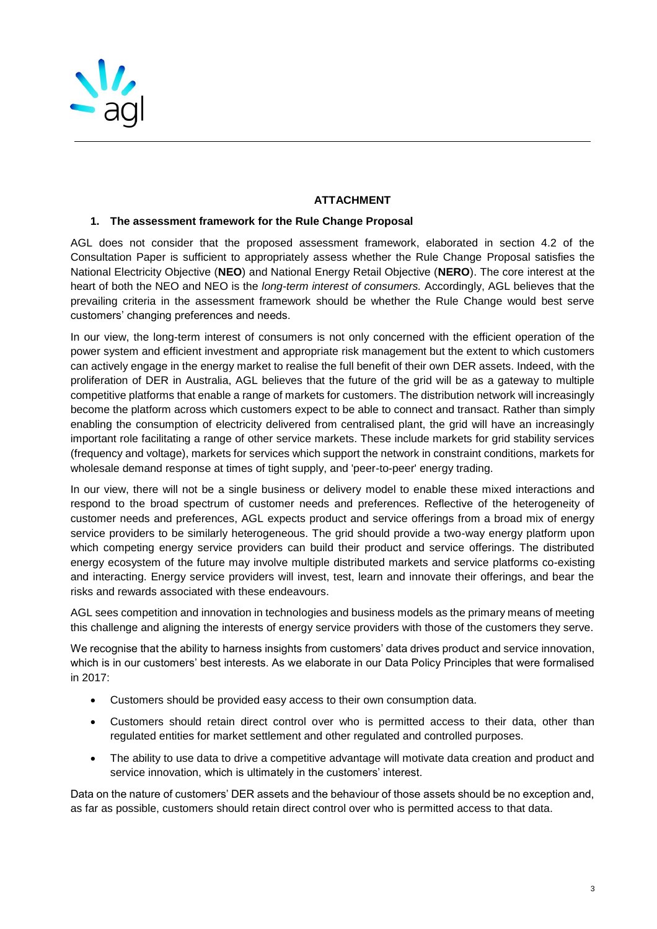

# **ATTACHMENT**

## **1. The assessment framework for the Rule Change Proposal**

AGL does not consider that the proposed assessment framework, elaborated in section 4.2 of the Consultation Paper is sufficient to appropriately assess whether the Rule Change Proposal satisfies the National Electricity Objective (**NEO**) and National Energy Retail Objective (**NERO**). The core interest at the heart of both the NEO and NEO is the *long-term interest of consumers.* Accordingly, AGL believes that the prevailing criteria in the assessment framework should be whether the Rule Change would best serve customers' changing preferences and needs.

In our view, the long-term interest of consumers is not only concerned with the efficient operation of the power system and efficient investment and appropriate risk management but the extent to which customers can actively engage in the energy market to realise the full benefit of their own DER assets. Indeed, with the proliferation of DER in Australia, AGL believes that the future of the grid will be as a gateway to multiple competitive platforms that enable a range of markets for customers. The distribution network will increasingly become the platform across which customers expect to be able to connect and transact. Rather than simply enabling the consumption of electricity delivered from centralised plant, the grid will have an increasingly important role facilitating a range of other service markets. These include markets for grid stability services (frequency and voltage), markets for services which support the network in constraint conditions, markets for wholesale demand response at times of tight supply, and 'peer-to-peer' energy trading.

In our view, there will not be a single business or delivery model to enable these mixed interactions and respond to the broad spectrum of customer needs and preferences. Reflective of the heterogeneity of customer needs and preferences, AGL expects product and service offerings from a broad mix of energy service providers to be similarly heterogeneous. The grid should provide a two-way energy platform upon which competing energy service providers can build their product and service offerings. The distributed energy ecosystem of the future may involve multiple distributed markets and service platforms co-existing and interacting. Energy service providers will invest, test, learn and innovate their offerings, and bear the risks and rewards associated with these endeavours.

AGL sees competition and innovation in technologies and business models as the primary means of meeting this challenge and aligning the interests of energy service providers with those of the customers they serve.

We recognise that the ability to harness insights from customers' data drives product and service innovation, which is in our customers' best interests. As we elaborate in our Data Policy Principles that were formalised in 2017:

- Customers should be provided easy access to their own consumption data.
- Customers should retain direct control over who is permitted access to their data, other than regulated entities for market settlement and other regulated and controlled purposes.
- The ability to use data to drive a competitive advantage will motivate data creation and product and service innovation, which is ultimately in the customers' interest.

Data on the nature of customers' DER assets and the behaviour of those assets should be no exception and, as far as possible, customers should retain direct control over who is permitted access to that data.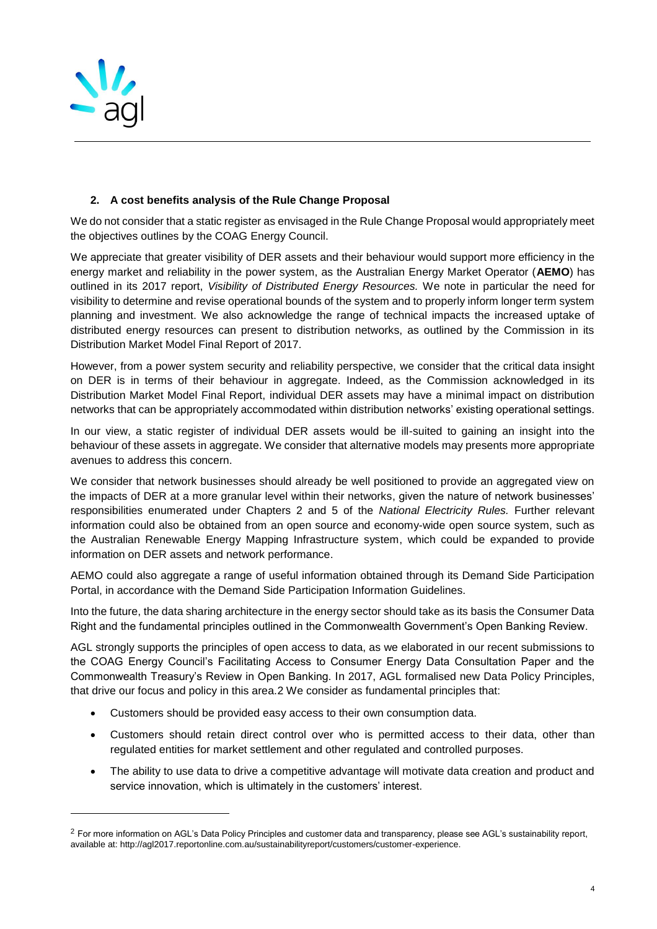

l

### **2. A cost benefits analysis of the Rule Change Proposal**

We do not consider that a static register as envisaged in the Rule Change Proposal would appropriately meet the objectives outlines by the COAG Energy Council.

We appreciate that greater visibility of DER assets and their behaviour would support more efficiency in the energy market and reliability in the power system, as the Australian Energy Market Operator (**AEMO**) has outlined in its 2017 report, *Visibility of Distributed Energy Resources.* We note in particular the need for visibility to determine and revise operational bounds of the system and to properly inform longer term system planning and investment. We also acknowledge the range of technical impacts the increased uptake of distributed energy resources can present to distribution networks, as outlined by the Commission in its Distribution Market Model Final Report of 2017.

However, from a power system security and reliability perspective, we consider that the critical data insight on DER is in terms of their behaviour in aggregate. Indeed, as the Commission acknowledged in its Distribution Market Model Final Report, individual DER assets may have a minimal impact on distribution networks that can be appropriately accommodated within distribution networks' existing operational settings.

In our view, a static register of individual DER assets would be ill-suited to gaining an insight into the behaviour of these assets in aggregate. We consider that alternative models may presents more appropriate avenues to address this concern.

We consider that network businesses should already be well positioned to provide an aggregated view on the impacts of DER at a more granular level within their networks, given the nature of network businesses' responsibilities enumerated under Chapters 2 and 5 of the *National Electricity Rules.* Further relevant information could also be obtained from an open source and economy-wide open source system, such as the Australian Renewable Energy Mapping Infrastructure system, which could be expanded to provide information on DER assets and network performance.

AEMO could also aggregate a range of useful information obtained through its Demand Side Participation Portal, in accordance with the Demand Side Participation Information Guidelines.

Into the future, the data sharing architecture in the energy sector should take as its basis the Consumer Data Right and the fundamental principles outlined in the Commonwealth Government's Open Banking Review.

AGL strongly supports the principles of open access to data, as we elaborated in our recent submissions to the COAG Energy Council's Facilitating Access to Consumer Energy Data Consultation Paper and the Commonwealth Treasury's Review in Open Banking. In 2017, AGL formalised new Data Policy Principles, that drive our focus and policy in this area.2 We consider as fundamental principles that:

- Customers should be provided easy access to their own consumption data.
- Customers should retain direct control over who is permitted access to their data, other than regulated entities for market settlement and other regulated and controlled purposes.
- The ability to use data to drive a competitive advantage will motivate data creation and product and service innovation, which is ultimately in the customers' interest.

<sup>&</sup>lt;sup>2</sup> For more information on AGL's Data Policy Principles and customer data and transparency, please see AGL's sustainability report, available at: http://agl2017.reportonline.com.au/sustainabilityreport/customers/customer-experience.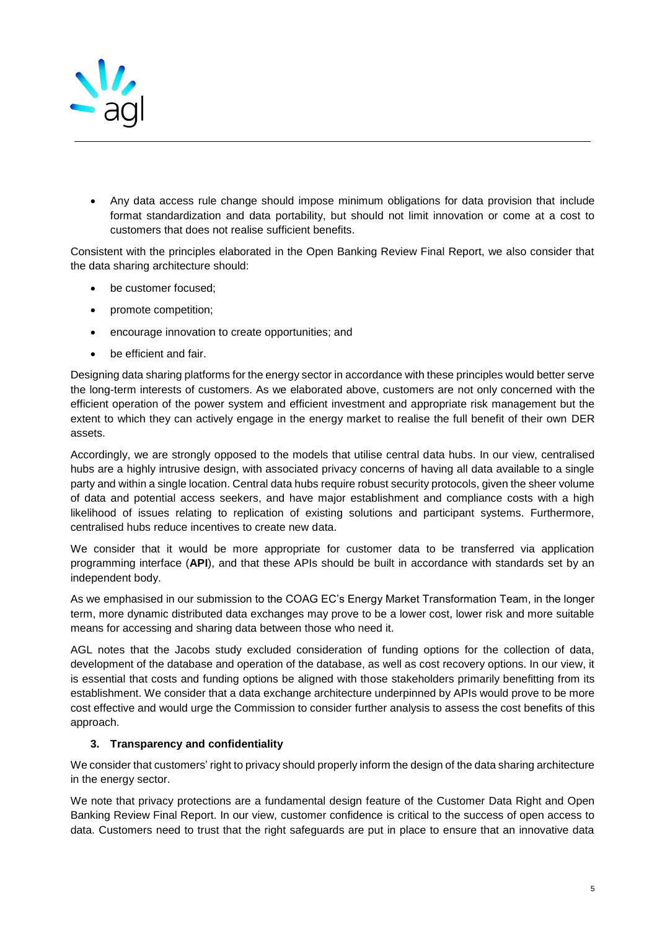

• Any data access rule change should impose minimum obligations for data provision that include format standardization and data portability, but should not limit innovation or come at a cost to customers that does not realise sufficient benefits.

Consistent with the principles elaborated in the Open Banking Review Final Report, we also consider that the data sharing architecture should:

- be customer focused;
- promote competition;
- encourage innovation to create opportunities; and
- be efficient and fair.

Designing data sharing platforms for the energy sector in accordance with these principles would better serve the long-term interests of customers. As we elaborated above, customers are not only concerned with the efficient operation of the power system and efficient investment and appropriate risk management but the extent to which they can actively engage in the energy market to realise the full benefit of their own DER assets.

Accordingly, we are strongly opposed to the models that utilise central data hubs. In our view, centralised hubs are a highly intrusive design, with associated privacy concerns of having all data available to a single party and within a single location. Central data hubs require robust security protocols, given the sheer volume of data and potential access seekers, and have major establishment and compliance costs with a high likelihood of issues relating to replication of existing solutions and participant systems. Furthermore, centralised hubs reduce incentives to create new data.

We consider that it would be more appropriate for customer data to be transferred via application programming interface (**API**), and that these APIs should be built in accordance with standards set by an independent body.

As we emphasised in our submission to the COAG EC's Energy Market Transformation Team, in the longer term, more dynamic distributed data exchanges may prove to be a lower cost, lower risk and more suitable means for accessing and sharing data between those who need it.

AGL notes that the Jacobs study excluded consideration of funding options for the collection of data, development of the database and operation of the database, as well as cost recovery options. In our view, it is essential that costs and funding options be aligned with those stakeholders primarily benefitting from its establishment. We consider that a data exchange architecture underpinned by APIs would prove to be more cost effective and would urge the Commission to consider further analysis to assess the cost benefits of this approach.

#### **3. Transparency and confidentiality**

We consider that customers' right to privacy should properly inform the design of the data sharing architecture in the energy sector.

We note that privacy protections are a fundamental design feature of the Customer Data Right and Open Banking Review Final Report. In our view, customer confidence is critical to the success of open access to data. Customers need to trust that the right safeguards are put in place to ensure that an innovative data